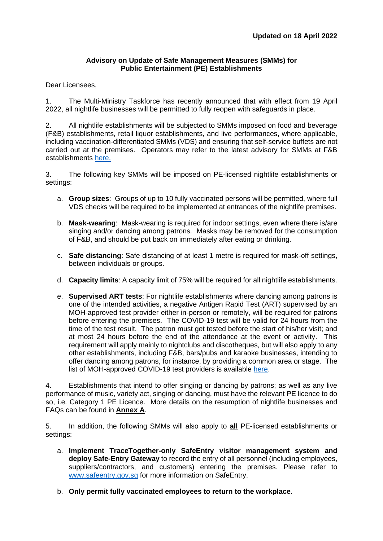#### **Advisory on Update of Safe Management Measures (SMMs) for Public Entertainment (PE) Establishments**

### Dear Licensees,

1. The Multi-Ministry Taskforce has recently announced that with effect from 19 April 2022, all nightlife businesses will be permitted to fully reopen with safeguards in place.

2. All nightlife establishments will be subjected to SMMs imposed on food and beverage (F&B) establishments, retail liquor establishments, and live performances, where applicable, including vaccination-differentiated SMMs (VDS) and ensuring that self-service buffets are not carried out at the premises. Operators may refer to the latest advisory for SMMs at F&B establishments [here.](file:///C:/Users/MTI-SHXTAN/AppData/Local/Microsoft/Windows/INetCache/Content.Outlook/L9O4AL53/enterprisesg.gov.sg/covid-19/safe-distance)

3. The following key SMMs will be imposed on PE-licensed nightlife establishments or settings:

- a. **Group sizes**: Groups of up to 10 fully vaccinated persons will be permitted, where full VDS checks will be required to be implemented at entrances of the nightlife premises.
- b. **Mask-wearing**: Mask-wearing is required for indoor settings, even where there is/are singing and/or dancing among patrons. Masks may be removed for the consumption of F&B, and should be put back on immediately after eating or drinking.
- c. **Safe distancing**: Safe distancing of at least 1 metre is required for mask-off settings, between individuals or groups.
- d. **Capacity limits**: A capacity limit of 75% will be required for all nightlife establishments.
- e. **Supervised ART tests**: For nightlife establishments where dancing among patrons is one of the intended activities, a negative Antigen Rapid Test (ART) supervised by an MOH-approved test provider either in-person or remotely, will be required for patrons before entering the premises. The COVID-19 test will be valid for 24 hours from the time of the test result. The patron must get tested before the start of his/her visit; and at most 24 hours before the end of the attendance at the event or activity. This requirement will apply mainly to nightclubs and discotheques, but will also apply to any other establishments, including F&B, bars/pubs and karaoke businesses, intending to offer dancing among patrons, for instance, by providing a common area or stage. The list of MOH-approved COVID-19 test providers is available [here.](file:///C:/Users/MTI-SHXTAN/AppData/Local/Microsoft/Windows/INetCache/Content.Outlook/L9O4AL53/go.gov.sg/swabproviders)

4. Establishments that intend to offer singing or dancing by patrons; as well as any live performance of music, variety act, singing or dancing, must have the relevant PE licence to do so, i.e. Category 1 PE Licence. More details on the resumption of nightlife businesses and FAQs can be found in **Annex A**.

5. In addition, the following SMMs will also apply to **all** PE-licensed establishments or settings:

- a. **Implement TraceTogether-only SafeEntry visitor management system and deploy Safe-Entry Gateway** to record the entry of all personnel (including employees, suppliers/contractors, and customers) entering the premises. Please refer to [www.safeentry.gov.sg](http://www.safeentry.gov.sg/) for more information on SafeEntry.
- b. **Only permit fully vaccinated employees to return to the workplace**.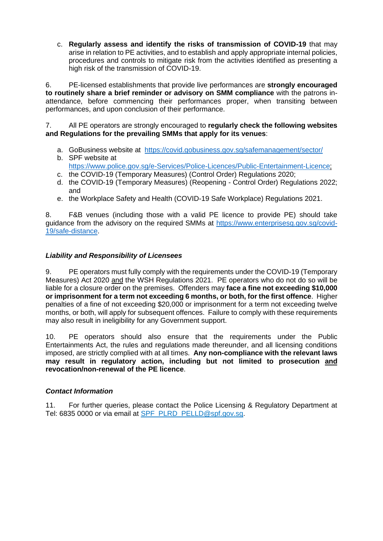c. **Regularly assess and identify the risks of transmission of COVID-19** that may arise in relation to PE activities, and to establish and apply appropriate internal policies, procedures and controls to mitigate risk from the activities identified as presenting a high risk of the transmission of COVID-19.

6. PE-licensed establishments that provide live performances are **strongly encouraged to routinely share a brief reminder or advisory on SMM compliance** with the patrons inattendance, before commencing their performances proper, when transiting between performances, and upon conclusion of their performance.

7. All PE operators are strongly encouraged to **regularly check the following websites and Regulations for the prevailing SMMs that apply for its venues**:

- a. GoBusiness website at <https://covid.gobusiness.gov.sg/safemanagement/sector/>
- b. SPF website at [https://www.police.gov.sg/e-Services/Police-Licences/Public-Entertainment-Licence;](https://www.police.gov.sg/e-Services/Police-Licences/Public-Entertainment-Licence)
- c. the COVID-19 (Temporary Measures) (Control Order) Regulations 2020;
- d. the COVID-19 (Temporary Measures) (Reopening Control Order) Regulations 2022; and
- e. the Workplace Safety and Health (COVID-19 Safe Workplace) Regulations 2021.

8. F&B venues (including those with a valid PE licence to provide PE) should take guidance from the advisory on the required SMMs at [https://www.enterprisesg.gov.sg/covid-](https://www.enterprisesg.gov.sg/covid-19/safe-distance)[19/safe-distance.](https://www.enterprisesg.gov.sg/covid-19/safe-distance)

# *Liability and Responsibility of Licensees*

9. PE operators must fully comply with the requirements under the COVID-19 (Temporary Measures) Act 2020 and the WSH Regulations 2021. PE operators who do not do so will be liable for a closure order on the premises. Offenders may **face a fine not exceeding \$10,000 or imprisonment for a term not exceeding 6 months, or both, for the first offence**. Higher penalties of a fine of not exceeding \$20,000 or imprisonment for a term not exceeding twelve months, or both, will apply for subsequent offences. Failure to comply with these requirements may also result in ineligibility for any Government support.

10. PE operators should also ensure that the requirements under the Public Entertainments Act, the rules and regulations made thereunder, and all licensing conditions imposed, are strictly complied with at all times. **Any non-compliance with the relevant laws may result in regulatory action, including but not limited to prosecution and revocation/non-renewal of the PE licence**.

### *Contact Information*

11. For further queries, please contact the Police Licensing & Regulatory Department at Tel: 6835 0000 or via email at [SPF\\_PLRD\\_PELLD@spf.gov.sg.](mailto:SPF_PLRD_PELLD@spf.gov.sg)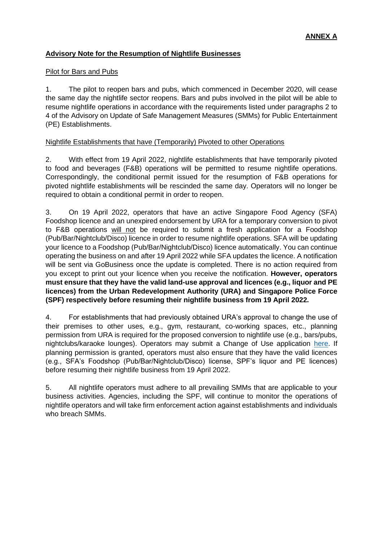# **Advisory Note for the Resumption of Nightlife Businesses**

### Pilot for Bars and Pubs

1. The pilot to reopen bars and pubs, which commenced in December 2020, will cease the same day the nightlife sector reopens. Bars and pubs involved in the pilot will be able to resume nightlife operations in accordance with the requirements listed under paragraphs 2 to 4 of the Advisory on Update of Safe Management Measures (SMMs) for Public Entertainment (PE) Establishments.

# Nightlife Establishments that have (Temporarily) Pivoted to other Operations

2. With effect from 19 April 2022, nightlife establishments that have temporarily pivoted to food and beverages (F&B) operations will be permitted to resume nightlife operations. Correspondingly, the conditional permit issued for the resumption of F&B operations for pivoted nightlife establishments will be rescinded the same day. Operators will no longer be required to obtain a conditional permit in order to reopen.

3. On 19 April 2022, operators that have an active Singapore Food Agency (SFA) Foodshop licence and an unexpired endorsement by URA for a temporary conversion to pivot to F&B operations will not be required to submit a fresh application for a Foodshop (Pub/Bar/Nightclub/Disco) licence in order to resume nightlife operations. SFA will be updating your licence to a Foodshop (Pub/Bar/Nightclub/Disco) licence automatically. You can continue operating the business on and after 19 April 2022 while SFA updates the licence. A notification will be sent via GoBusiness once the update is completed. There is no action required from you except to print out your licence when you receive the notification. **However, operators must ensure that they have the valid land-use approval and licences (e.g., liquor and PE licences) from the Urban Redevelopment Authority (URA) and Singapore Police Force (SPF) respectively before resuming their nightlife business from 19 April 2022.**

4. For establishments that had previously obtained URA's approval to change the use of their premises to other uses, e.g., gym, restaurant, co-working spaces, etc., planning permission from URA is required for the proposed conversion to nightlife use (e.g., bars/pubs, nightclubs/karaoke lounges). Operators may submit a Change of Use application [here.](https://licence1.business.gov.sg/feportal/web/frontier/home) If planning permission is granted, operators must also ensure that they have the valid licences (e.g., SFA's Foodshop (Pub/Bar/Nightclub/Disco) license, SPF's liquor and PE licences) before resuming their nightlife business from 19 April 2022.

5. All nightlife operators must adhere to all prevailing SMMs that are applicable to your business activities. Agencies, including the SPF, will continue to monitor the operations of nightlife operators and will take firm enforcement action against establishments and individuals who breach SMMs.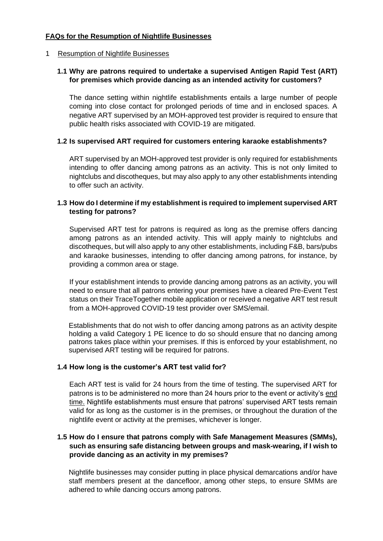# **FAQs for the Resumption of Nightlife Businesses**

### 1 Resumption of Nightlife Businesses

### **1.1 Why are patrons required to undertake a supervised Antigen Rapid Test (ART) for premises which provide dancing as an intended activity for customers?**

The dance setting within nightlife establishments entails a large number of people coming into close contact for prolonged periods of time and in enclosed spaces. A negative ART supervised by an MOH-approved test provider is required to ensure that public health risks associated with COVID-19 are mitigated.

### **1.2 Is supervised ART required for customers entering karaoke establishments?**

ART supervised by an MOH-approved test provider is only required for establishments intending to offer dancing among patrons as an activity. This is not only limited to nightclubs and discotheques, but may also apply to any other establishments intending to offer such an activity.

# **1.3 How do I determine if my establishment is required to implement supervised ART testing for patrons?**

Supervised ART test for patrons is required as long as the premise offers dancing among patrons as an intended activity. This will apply mainly to nightclubs and discotheques, but will also apply to any other establishments, including F&B, bars/pubs and karaoke businesses, intending to offer dancing among patrons, for instance, by providing a common area or stage.

If your establishment intends to provide dancing among patrons as an activity, you will need to ensure that all patrons entering your premises have a cleared Pre-Event Test status on their TraceTogether mobile application or received a negative ART test result from a MOH-approved COVID-19 test provider over SMS/email.

Establishments that do not wish to offer dancing among patrons as an activity despite holding a valid Category 1 PE licence to do so should ensure that no dancing among patrons takes place within your premises. If this is enforced by your establishment, no supervised ART testing will be required for patrons.

### **1.4 How long is the customer's ART test valid for?**

Each ART test is valid for 24 hours from the time of testing. The supervised ART for patrons is to be administered no more than 24 hours prior to the event or activity's end time. Nightlife establishments must ensure that patrons' supervised ART tests remain valid for as long as the customer is in the premises, or throughout the duration of the nightlife event or activity at the premises, whichever is longer.

# **1.5 How do I ensure that patrons comply with Safe Management Measures (SMMs), such as ensuring safe distancing between groups and mask-wearing, if I wish to provide dancing as an activity in my premises?**

Nightlife businesses may consider putting in place physical demarcations and/or have staff members present at the dancefloor, among other steps, to ensure SMMs are adhered to while dancing occurs among patrons.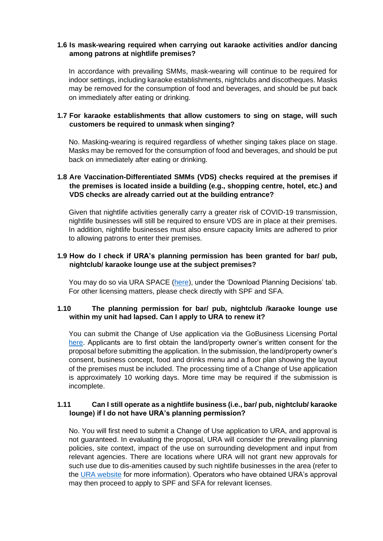# **1.6 Is mask-wearing required when carrying out karaoke activities and/or dancing among patrons at nightlife premises?**

In accordance with prevailing SMMs, mask-wearing will continue to be required for indoor settings, including karaoke establishments, nightclubs and discotheques. Masks may be removed for the consumption of food and beverages, and should be put back on immediately after eating or drinking.

# **1.7 For karaoke establishments that allow customers to sing on stage, will such customers be required to unmask when singing?**

No. Masking-wearing is required regardless of whether singing takes place on stage. Masks may be removed for the consumption of food and beverages, and should be put back on immediately after eating or drinking.

# **1.8 Are Vaccination-Differentiated SMMs (VDS) checks required at the premises if the premises is located inside a building (e.g., shopping centre, hotel, etc.) and VDS checks are already carried out at the building entrance?**

Given that nightlife activities generally carry a greater risk of COVID-19 transmission, nightlife businesses will still be required to ensure VDS are in place at their premises. In addition, nightlife businesses must also ensure capacity limits are adhered to prior to allowing patrons to enter their premises.

### **1.9 How do I check if URA's planning permission has been granted for bar/ pub, nightclub/ karaoke lounge use at the subject premises?**

You may do so via URA SPACE [\(here\)](https://www.ura.gov.sg/maps/), under the 'Download Planning Decisions' tab. For other licensing matters, please check directly with SPF and SFA.

### **1.10 The planning permission for bar/ pub, nightclub /karaoke lounge use within my unit had lapsed. Can I apply to URA to renew it?**

You can submit the Change of Use application via the GoBusiness Licensing Portal [here.](https://licence1.business.gov.sg/web/frontier/home) Applicants are to first obtain the land/property owner's written consent for the proposal before submitting the application. In the submission, the land/property owner's consent, business concept, food and drinks menu and a floor plan showing the layout of the premises must be included. The processing time of a Change of Use application is approximately 10 working days. More time may be required if the submission is incomplete.

### **1.11 Can I still operate as a nightlife business (i.e., bar/ pub, nightclub/ karaoke lounge) if I do not have URA's planning permission?**

No. You will first need to submit a Change of Use application to URA, and approval is not guaranteed. In evaluating the proposal, URA will consider the prevailing planning policies, site context, impact of the use on surrounding development and input from relevant agencies. There are locations where URA will not grant new approvals for such use due to dis-amenities caused by such nightlife businesses in the area (refer to the [URA website](https://www.ura.gov.sg/Corporate/Property/Business/Change-Use-of-Property-for-Business/~/link.aspx?_id=B3B45584F9414B3FAD9C8FB66310358F&_z=z) for more information). Operators who have obtained URA's approval may then proceed to apply to SPF and SFA for relevant licenses.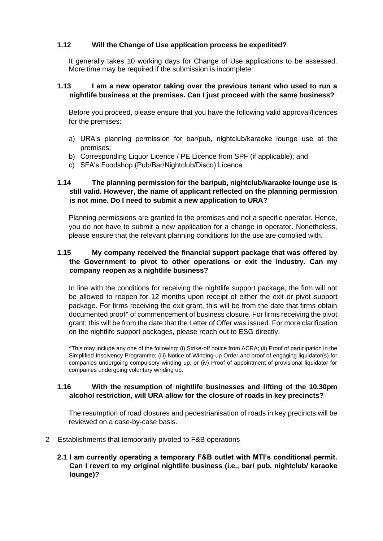# **1.12 Will the Change of Use application process be expedited?**

It generally takes 10 working days for Change of Use applications to be assessed. More time may be required if the submission is incomplete.

### **1.13 I am a new operator taking over the previous tenant who used to run a nightlife business at the premises. Can I just proceed with the same business?**

Before you proceed, please ensure that you have the following valid approval/licences for the premises:

- a) URA's planning permission for bar/pub, nightclub/karaoke lounge use at the premises;
- b) Corresponding Liquor Licence / PE Licence from SPF (if applicable); and
- c) SFA's Foodshop (Pub/Bar/Nightclub/Disco) Licence

# **1.14 The planning permission for the bar/pub, nightclub/karaoke lounge use is still valid. However, the name of applicant reflected on the planning permission is not mine. Do I need to submit a new application to URA?**

Planning permissions are granted to the premises and not a specific operator. Hence, you do not have to submit a new application for a change in operator. Nonetheless, please ensure that the relevant planning conditions for the use are complied with.

# **1.15 My company received the financial support package that was offered by the Government to pivot to other operations or exit the industry. Can my company reopen as a nightlife business?**

In line with the conditions for receiving the nightlife support package, the firm will not be allowed to reopen for 12 months upon receipt of either the exit or pivot support package. For firms receiving the exit grant, this will be from the date that firms obtain documented proof^ of commencement of business closure. For firms receiving the pivot grant, this will be from the date that the Letter of Offer was issued. For more clarification on the nightlife support packages, please reach out to ESG directly.

^This may include any one of the following: (i) Strike-off notice from ACRA; (ii) Proof of participation in the Simplified Insolvency Programme; (iii) Notice of Winding-up Order and proof of engaging liquidator(s) for companies undergoing compulsory winding up; or (iv) Proof of appointment of provisional liquidator for companies undergoing voluntary winding up.

# **1.16 With the resumption of nightlife businesses and lifting of the 10.30pm alcohol restriction, will URA allow for the closure of roads in key precincts?**

The resumption of road closures and pedestrianisation of roads in key precincts will be reviewed on a case-by-case basis.

### 2 Establishments that temporarily pivoted to F&B operations

### **2.1 I am currently operating a temporary F&B outlet with MTI's conditional permit. Can I revert to my original nightlife business (i.e., bar/ pub, nightclub/ karaoke lounge)?**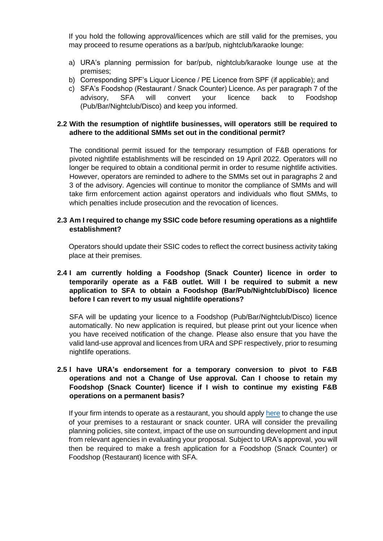If you hold the following approval/licences which are still valid for the premises, you may proceed to resume operations as a bar/pub, nightclub/karaoke lounge:

- a) URA's planning permission for bar/pub, nightclub/karaoke lounge use at the premises;
- b) Corresponding SPF's Liquor Licence / PE Licence from SPF (if applicable); and
- c) SFA's Foodshop (Restaurant / Snack Counter) Licence. As per paragraph 7 of the advisory, SFA will convert your licence back to Foodshop (Pub/Bar/Nightclub/Disco) and keep you informed.

### **2.2 With the resumption of nightlife businesses, will operators still be required to adhere to the additional SMMs set out in the conditional permit?**

The conditional permit issued for the temporary resumption of F&B operations for pivoted nightlife establishments will be rescinded on 19 April 2022. Operators will no longer be required to obtain a conditional permit in order to resume nightlife activities. However, operators are reminded to adhere to the SMMs set out in paragraphs 2 and 3 of the advisory. Agencies will continue to monitor the compliance of SMMs and will take firm enforcement action against operators and individuals who flout SMMs, to which penalties include prosecution and the revocation of licences.

### **2.3 Am I required to change my SSIC code before resuming operations as a nightlife establishment?**

Operators should update their SSIC codes to reflect the correct business activity taking place at their premises.

### **2.4 I am currently holding a Foodshop (Snack Counter) licence in order to temporarily operate as a F&B outlet. Will I be required to submit a new application to SFA to obtain a Foodshop (Bar/Pub/Nightclub/Disco) licence before I can revert to my usual nightlife operations?**

SFA will be updating your licence to a Foodshop (Pub/Bar/Nightclub/Disco) licence automatically. No new application is required, but please print out your licence when you have received notification of the change. Please also ensure that you have the valid land-use approval and licences from URA and SPF respectively, prior to resuming nightlife operations.

# **2.5 I have URA's endorsement for a temporary conversion to pivot to F&B operations and not a Change of Use approval. Can I choose to retain my Foodshop (Snack Counter) licence if I wish to continue my existing F&B operations on a permanent basis?**

If your firm intends to operate as a restaurant, you should apply [here](https://licence1.business.gov.sg/web/frontier/home) to change the use of your premises to a restaurant or snack counter. URA will consider the prevailing planning policies, site context, impact of the use on surrounding development and input from relevant agencies in evaluating your proposal. Subject to URA's approval, you will then be required to make a fresh application for a Foodshop (Snack Counter) or Foodshop (Restaurant) licence with SFA.